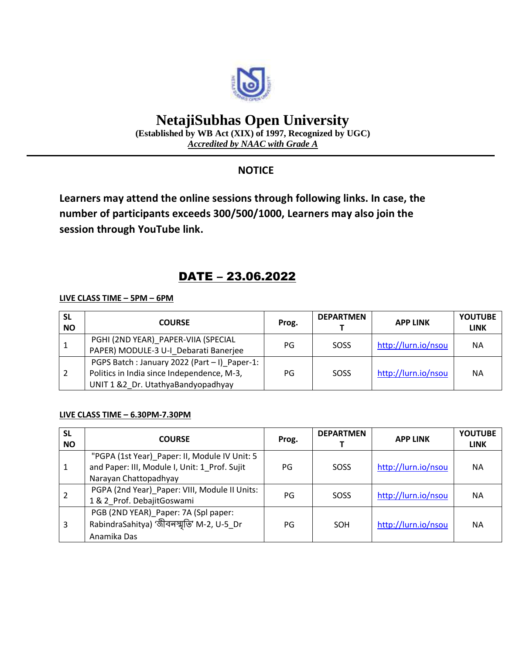

# **NetajiSubhas Open University**

**(Established by WB Act (XIX) of 1997, Recognized by UGC)** *Accredited by NAAC with Grade A*

### **NOTICE**

**Learners may attend the online sessions through following links. In case, the number of participants exceeds 300/500/1000, Learners may also join the session through YouTube link.**

## DATE – 23.06.2022

#### **LIVE CLASS TIME – 5PM – 6PM**

| <b>SL</b><br><b>NO</b> | <b>COURSE</b>                                                                                                                     | Prog. | <b>DEPARTMEN</b> | <b>APP LINK</b>     | <b>YOUTUBE</b><br><b>LINK</b> |
|------------------------|-----------------------------------------------------------------------------------------------------------------------------------|-------|------------------|---------------------|-------------------------------|
|                        | PGHI (2ND YEAR) PAPER-VIIA (SPECIAL<br>PAPER) MODULE-3 U-I Debarati Banerjee                                                      | PG    | SOSS             | http://lurn.io/nsou | <b>NA</b>                     |
|                        | PGPS Batch : January 2022 (Part - I) Paper-1:<br>Politics in India since Independence, M-3,<br>UNIT 1 &2 Dr. UtathyaBandyopadhyay | PG    | SOSS             | http://lurn.io/nsou | <b>NA</b>                     |

#### **LIVE CLASS TIME – 6.30PM-7.30PM**

| <b>SL</b><br><b>NO</b> | <b>COURSE</b>                                                                                                           | Prog. | <b>DEPARTMEN</b> | <b>APP LINK</b>     | <b>YOUTUBE</b><br><b>LINK</b> |
|------------------------|-------------------------------------------------------------------------------------------------------------------------|-------|------------------|---------------------|-------------------------------|
|                        | "PGPA (1st Year) Paper: II, Module IV Unit: 5<br>and Paper: III, Module I, Unit: 1_Prof. Sujit<br>Narayan Chattopadhyay | PG    | SOSS             | http://lurn.io/nsou | NА                            |
| 2                      | PGPA (2nd Year)_Paper: VIII, Module II Units:<br>1 & 2 Prof. DebajitGoswami                                             | PG    | SOSS             | http://lurn.io/nsou | <b>NA</b>                     |
| 3                      | PGB (2ND YEAR)_Paper: 7A (Spl paper:<br>RabindraSahitya) 'জীবন্স্মৃত্যি' M-2, U-5_Dr<br>Anamika Das                     | PG    | SOH              | http://lurn.io/nsou | <b>NA</b>                     |